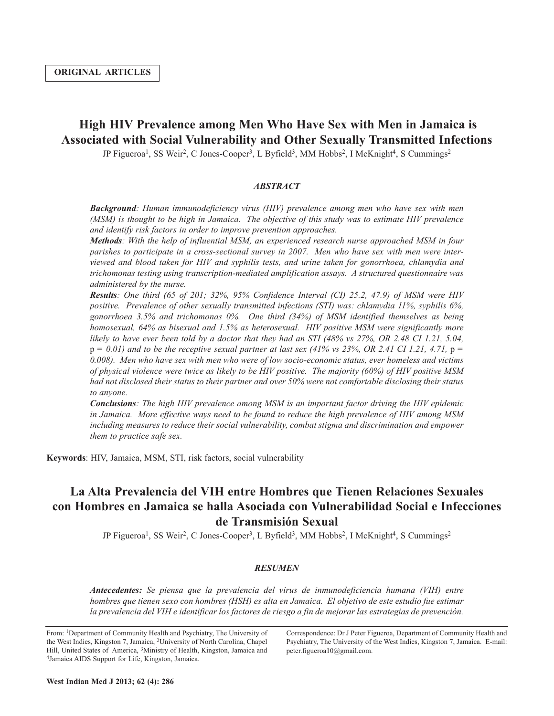# **High HIV Prevalence among Men Who Have Sex with Men in Jamaica is Associated with Social Vulnerability and Other Sexually Transmitted Infections**

JP Figueroa<sup>1</sup>, SS Weir<sup>2</sup>, C Jones-Cooper<sup>3</sup>, L Byfield<sup>3</sup>, MM Hobbs<sup>2</sup>, I McKnight<sup>4</sup>, S Cummings<sup>2</sup>

### *ABSTRACT*

*Background: Human immunodeficiency virus (HIV) prevalence among men who have sex with men (MSM) is thought to be high in Jamaica. The objective of this study was to estimate HIV prevalence and identify risk factors in order to improve prevention approaches.*

*Methods: With the help of influential MSM, an experienced research nurse approached MSM in four parishes to participate in a cross-sectional survey in 2007. Men who have sex with men were interviewed and blood taken for HIV and syphilis tests, and urine taken for gonorrhoea, chlamydia and trichomonas testing using transcription-mediated amplification assays. A structured questionnaire was administered by the nurse.*

*Results: One third (65 of 201; 32%, 95% Confidence Interval (CI) 25.2, 47.9) of MSM were HIV positive. Prevalence of other sexually transmitted infections (STI) was: chlamydia 11%, syphilis 6%, gonorrhoea 3.5% and trichomonas 0%. One third (34%) of MSM identified themselves as being homosexual, 64% as bisexual and 1.5% as heterosexual. HIV positive MSM were significantly more* likely to have ever been told by a doctor that they had an STI (48% vs 27%, OR 2.48 CI 1.21, 5.04,  $p = 0.01$  and to be the receptive sexual partner at last sex (41% vs 23%, OR 2.41 CI 1.21, 4.71,  $p =$ *0.008). Men who have sex with men who were of low socio-economic status, ever homeless and victims* of physical violence were twice as likely to be HIV positive. The majority (60%) of HIV positive MSM *had not disclosed their status to their partner and over 50% were not comfortable disclosing their status to anyone.*

*Conclusions: The high HIV prevalence among MSM is an important factor driving the HIV epidemic in Jamaica. More effective ways need to be found to reduce the high prevalence of HIV among MSM including measures to reduce their social vulnerability, combat stigma and discrimination and empower them to practice safe sex.*

**Keywords**: HIV, Jamaica, MSM, STI, risk factors, social vulnerability

# **La Alta Prevalencia del VIH entre Hombres que Tienen Relaciones Sexuales con Hombres en Jamaica se halla Asociada con Vulnerabilidad Social e Infecciones de Transmisión Sexual**

JP Figueroa<sup>1</sup>, SS Weir<sup>2</sup>, C Jones-Cooper<sup>3</sup>, L Byfield<sup>3</sup>, MM Hobbs<sup>2</sup>, I McKnight<sup>4</sup>, S Cummings<sup>2</sup>

#### *RESUMEN*

*Antecedentes: Se piensa que la prevalencia del virus de inmunodeficiencia humana (VIH) entre* hombres que tienen sexo con hombres (HSH) es alta en Jamaica. El objetivo de este estudio fue estimar la prevalencia del VIH e identificar los factores de riesgo a fin de mejorar las estrategias de prevención.

From: 1Department of Community Health and Psychiatry, The University of the West Indies, Kingston 7, Jamaica, 2University of North Carolina, Chapel Hill, United States of America, <sup>3</sup>Ministry of Health, Kingston, Jamaica and 4Jamaica AIDS Support for Life, Kingston, Jamaica.

Correspondence: Dr J Peter Figueroa, Department of Community Health and Psychiatry, The University of the West Indies, Kingston 7, Jamaica. E-mail: peter.figueroa10@gmail.com.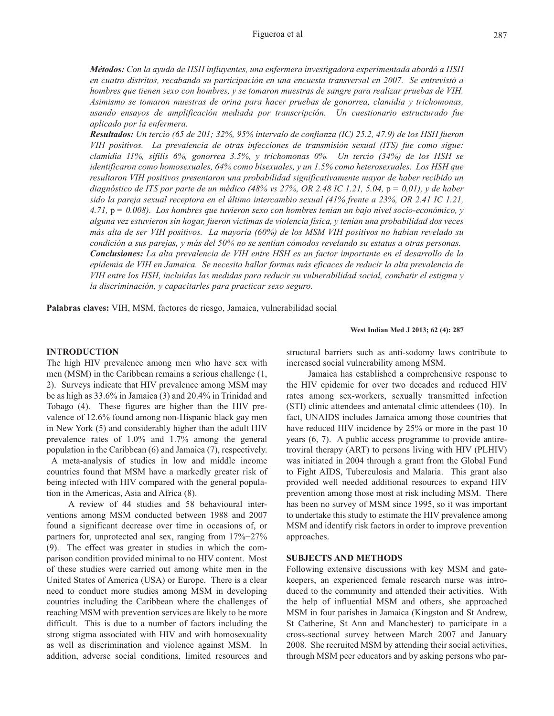*Métodos: Con la ayuda de HSH influyentes, una enfermera investigadora experimentada abordó a HSH en cuatro distritos, recabando su participación en una encuesta transversal en 2007. Se entrevistó a hombres que tienen sexo con hombres, y se tomaron muestras de sangre para realizar pruebas de VIH. Asimismo se tomaron muestras de orina para hacer pruebas de gonorrea, clamidia y trichomonas, usando ensayos de amplificación mediada por transcripción. Un cuestionario estructurado fue aplicado por la enfermera.*

Resultados: Un tercio (65 de 201; 32%, 95% intervalo de confianza (IC) 25.2, 47.9) de los HSH fueron *VIH positivos. La prevalencia de otras infecciones de transmisión sexual (ITS) fue como sigue: clamidia 11%, sífilis 6%, gonorrea 3.5%, y trichomonas 0%. Un tercio (34%) de los HSH se identificaron como homosexuales, 64% como bisexuales, y un 1.5% como heterosexuales. Los HSH que resultaron VIH positivos presentaron una probabilidad significativamente mayor de haber recibido un* diagnóstico de ITS por parte de un médico (48% vs 27%, OR 2.48 IC 1.21, 5.04,  $p = 0.01$ ), y de haber sido la pareja sexual receptora en el último intercambio sexual (41% frente a 23%, OR 2.41 IC 1.21, *4.71,* p *= 0.008). Los hombres que tuvieron sexo con hombres tenían un bajo nivel socio-económico, y alguna vez estuvieron sin hogar, fueron víctimas de violencia física, y tenían una probabilidad dos veces más alta de ser VIH positivos. La mayoría (60%) de los MSM VIH positivos no habían revelado su* condición a sus parejas, y más del 50% no se sentían cómodos revelando su estatus a otras personas. *Conclusiones: La alta prevalencia de VIH entre HSH es un factor importante en el desarrollo de la epidemia de VIH en Jamaica. Se necesita hallar formas más eficaces de reducir la alta prevalencia de VIH entre los HSH, incluidas las medidas para reducir su vulnerabilidad social, combatir el estigma y la discriminación, y capacitarles para practicar sexo seguro.*

**Palabras claves:** VIH, MSM, factores de riesgo, Jamaica, vulnerabilidad social

#### **West Indian Med J 2013; 62 (4): 287**

## **INTRODUCTION**

The high HIV prevalence among men who have sex with men (MSM) in the Caribbean remains a serious challenge (1, 2). Surveys indicate that HIV prevalence among MSM may be as high as 33.6% in Jamaica (3) and 20.4% in Trinidad and Tobago (4). These figures are higher than the HIV prevalence of 12.6% found among non-Hispanic black gay men in New York (5) and considerably higher than the adult HIV prevalence rates of 1.0% and 1.7% among the general population in the Caribbean (6) and Jamaica (7), respectively. A meta-analysis of studies in low and middle income countries found that MSM have a markedly greater risk of being infected with HIV compared with the general population in the Americas, Asia and Africa (8).

A review of 44 studies and 58 behavioural interventions among MSM conducted between 1988 and 2007 found a significant decrease over time in occasions of, or partners for, unprotected anal sex, ranging from 17%−27% (9). The effect was greater in studies in which the comparison condition provided minimal to no HIV content. Most of these studies were carried out among white men in the United States of America (USA) or Europe. There is a clear need to conduct more studies among MSM in developing countries including the Caribbean where the challenges of reaching MSM with prevention services are likely to be more difficult. This is due to a number of factors including the strong stigma associated with HIV and with homosexuality as well as discrimination and violence against MSM. In addition, adverse social conditions, limited resources and

structural barriers such as anti-sodomy laws contribute to increased social vulnerability among MSM.

Jamaica has established a comprehensive response to the HIV epidemic for over two decades and reduced HIV rates among sex-workers, sexually transmitted infection (STI) clinic attendees and antenatal clinic attendees (10). In fact, UNAIDS includes Jamaica among those countries that have reduced HIV incidence by 25% or more in the past 10 years (6, 7). A public access programme to provide antiretroviral therapy (ART) to persons living with HIV (PLHIV) was initiated in 2004 through a grant from the Global Fund to Fight AIDS, Tuberculosis and Malaria. This grant also provided well needed additional resources to expand HIV prevention among those most at risk including MSM. There has been no survey of MSM since 1995, so it was important to undertake this study to estimate the HIV prevalence among MSM and identify risk factors in order to improve prevention approaches.

### **SUBJECTS AND METHODS**

Following extensive discussions with key MSM and gatekeepers, an experienced female research nurse was introduced to the community and attended their activities. With the help of influential MSM and others, she approached MSM in four parishes in Jamaica (Kingston and St Andrew, St Catherine, St Ann and Manchester) to participate in a cross-sectional survey between March 2007 and January 2008. She recruited MSM by attending their social activities, through MSM peer educators and by asking persons who par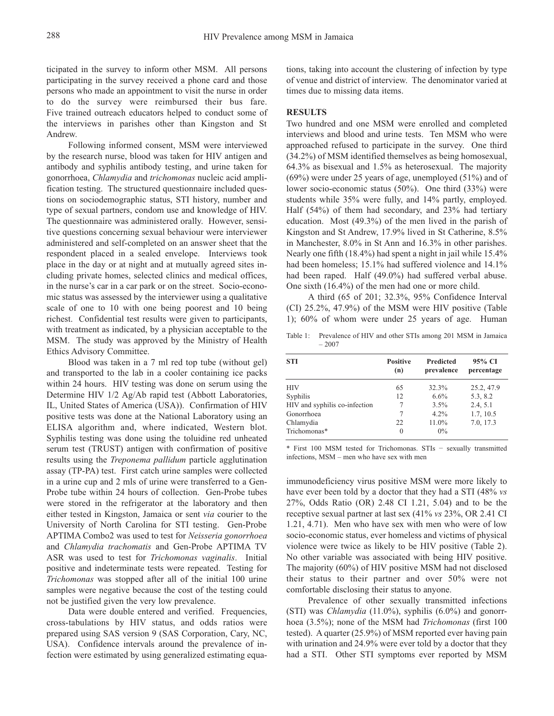ticipated in the survey to inform other MSM. All persons participating in the survey received a phone card and those persons who made an appointment to visit the nurse in order to do the survey were reimbursed their bus fare. Five trained outreach educators helped to conduct some of the interviews in parishes other than Kingston and St Andrew.

Following informed consent, MSM were interviewed by the research nurse, blood was taken for HIV antigen and antibody and syphilis antibody testing, and urine taken for gonorrhoea, *Chlamydia* and *trichomonas* nucleic acid amplification testing. The structured questionnaire included questions on sociodemographic status, STI history, number and type of sexual partners, condom use and knowledge of HIV. The questionnaire was administered orally. However, sensitive questions concerning sexual behaviour were interviewer administered and self-completed on an answer sheet that the respondent placed in a sealed envelope. Interviews took place in the day or at night and at mutually agreed sites including private homes, selected clinics and medical offices, in the nurse's car in a car park or on the street. Socio-economic status was assessed by the interviewer using a qualitative scale of one to 10 with one being poorest and 10 being richest. Confidential test results were given to participants, with treatment as indicated, by a physician acceptable to the MSM. The study was approved by the Ministry of Health Ethics Advisory Committee.

Blood was taken in a 7 ml red top tube (without gel) and transported to the lab in a cooler containing ice packs within 24 hours. HIV testing was done on serum using the Determine HIV 1/2 Ag/Ab rapid test (Abbott Laboratories, IL, United States of America (USA)). Confirmation of HIV positive tests was done at the National Laboratory using an ELISA algorithm and, where indicated, Western blot. Syphilis testing was done using the toluidine red unheated serum test (TRUST) antigen with confirmation of positive results using the *Treponema pallidum* particle agglutination assay (TP-PA) test. First catch urine samples were collected in a urine cup and 2 mls of urine were transferred to a Gen-Probe tube within 24 hours of collection. Gen-Probe tubes were stored in the refrigerator at the laboratory and then either tested in Kingston, Jamaica or sent *via* courier to the University of North Carolina for STI testing. Gen-Probe APTIMA Combo2 was used to test for *Neisseria gonorrhoea* and *Chlamydia trachomatis* and Gen-Probe APTIMA TV ASR was used to test for *Trichomonas vaginalis*. Initial positive and indeterminate tests were repeated. Testing for *Trichomonas* was stopped after all of the initial 100 urine samples were negative because the cost of the testing could not be justified given the very low prevalence.

Data were double entered and verified. Frequencies, cross-tabulations by HIV status, and odds ratios were prepared using SAS version 9 (SAS Corporation, Cary, NC, USA). Confidence intervals around the prevalence of infection were estimated by using generalized estimating equations, taking into account the clustering of infection by type of venue and district of interview. The denominator varied at times due to missing data items.

#### **RESULTS**

Two hundred and one MSM were enrolled and completed interviews and blood and urine tests. Ten MSM who were approached refused to participate in the survey. One third (34.2%) of MSM identified themselves as being homosexual, 64.3% as bisexual and 1.5% as heterosexual. The majority (69%) were under 25 years of age, unemployed (51%) and of lower socio-economic status (50%). One third (33%) were students while 35% were fully, and 14% partly, employed. Half (54%) of them had secondary, and 23% had tertiary education. Most (49.3%) of the men lived in the parish of Kingston and St Andrew, 17.9% lived in St Catherine, 8.5% in Manchester, 8.0% in St Ann and 16.3% in other parishes. Nearly one fifth (18.4%) had spent a night in jail while 15.4% had been homeless; 15.1% had suffered violence and 14.1% had been raped. Half (49.0%) had suffered verbal abuse. One sixth (16.4%) of the men had one or more child.

A third (65 of 201; 32.3%, 95% Confidence Interval (CI) 25.2%, 47.9%) of the MSM were HIV positive (Table 1); 60% of whom were under 25 years of age. Human

Table 1: Prevalence of HIV and other STIs among 201 MSM in Jamaica – 2007

| <b>STI</b>                    | <b>Positive</b><br><b>Predicted</b><br>prevalence<br>(n) |         | 95% CI<br>percentage |
|-------------------------------|----------------------------------------------------------|---------|----------------------|
| <b>HIV</b>                    | 65                                                       | 32.3%   | 25.2, 47.9           |
| Syphilis                      | 12                                                       | 6.6%    | 5.3, 8.2             |
| HIV and syphilis co-infection | 7                                                        | $3.5\%$ | 2.4, 5.1             |
| Gonorrhoea                    |                                                          | $4.2\%$ | 1.7, 10.5            |
| Chlamydia                     | 22.                                                      | 11.0%   | 7.0, 17.3            |
| Trichomonas*                  | $\theta$                                                 | $0\%$   |                      |

\* First 100 MSM tested for Trichomonas. STIs − sexually transmitted infections, MSM – men who have sex with men

immunodeficiency virus positive MSM were more likely to have ever been told by a doctor that they had a STI (48% *vs* 27%, Odds Ratio (OR) 2.48 CI 1.21, 5.04) and to be the receptive sexual partner at last sex (41% *vs* 23%, OR 2.41 CI 1.21, 4.71). Men who have sex with men who were of low socio-economic status, ever homeless and victims of physical violence were twice as likely to be HIV positive (Table 2). No other variable was associated with being HIV positive. The majority (60%) of HIV positive MSM had not disclosed their status to their partner and over 50% were not comfortable disclosing their status to anyone.

Prevalence of other sexually transmitted infections (STI) was *Chlamydia* (11.0%), syphilis (6.0%) and gonorrhoea (3.5%); none of the MSM had *Trichomonas* (first 100 tested). A quarter (25.9%) of MSM reported ever having pain with urination and 24.9% were ever told by a doctor that they had a STI. Other STI symptoms ever reported by MSM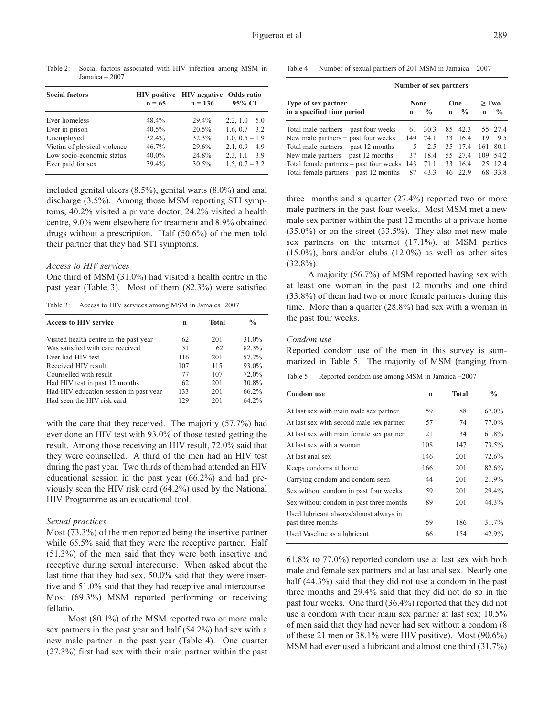Table 2: Social factors associated with HIV infection among MSM in Jamaica – 2007

| <b>Social factors</b>       | $n = 65$ | HIV positive HIV negative Odds ratio<br>$n = 136$ | 95% CI           |
|-----------------------------|----------|---------------------------------------------------|------------------|
| Ever homeless               | 48.4%    | 29.4%                                             | 2.2, $1.0 - 5.0$ |
| Ever in prison              | $40.5\%$ | 20.5%                                             | 1.6, $0.7 - 3.2$ |
| Unemployed                  | $32.4\%$ | 32.3%                                             | $1.0, 0.5 - 1.9$ |
| Victim of physical violence | $46.7\%$ | 29.6%                                             | $2.1, 0.9 - 4.9$ |
| Low socio-economic status   | $40.0\%$ | 24.8%                                             | $2.3, 1.1 - 3.9$ |
| Ever paid for sex           | 39.4%    | 30.5%                                             | $1.5, 0.7 - 3.2$ |

included genital ulcers (8.5%), genital warts (8.0%) and anal discharge (3.5%). Among those MSM reporting STI symptoms, 40.2% visited a private doctor, 24.2% visited a health centre, 9.0% went elsewhere for treatment and 8.9% obtained drugs without a prescription. Half (50.6%) of the men told their partner that they had STI symptoms.

#### *Access to HIV services*

One third of MSM (31.0%) had visited a health centre in the past year (Table 3). Most of them (82.3%) were satisfied

Table 3: Access to HIV services among MSM in Jamaica−2007

| <b>Access to HIV service</b>           | n   | <b>Total</b> | $\frac{0}{0}$ |
|----------------------------------------|-----|--------------|---------------|
| Visited health centre in the past year | 62  | 201          | 31.0%         |
| Was satisfied with care received       | 51  | 62           | 82.3%         |
| Ever had HIV test                      | 116 | 201          | 57.7%         |
| Received HIV result                    | 107 | 115          | 93.0%         |
| Counselled with result                 | 77  | 107          | 72.0%         |
| Had HIV test in past 12 months         | 62  | 201          | 30.8%         |
| Had HIV education session in past year | 133 | 201          | 66.2%         |
| Had seen the HIV risk card             | 129 | 201          | 64.2%         |

with the care that they received. The majority (57.7%) had ever done an HIV test with 93.0% of those tested getting the result. Among those receiving an HIV result, 72.0% said that they were counselled. A third of the men had an HIV test during the past year. Two thirds of them had attended an HIV educational session in the past year (66.2%) and had previously seen the HIV risk card (64.2%) used by the National HIV Programme as an educational tool.

#### *Sexual practices*

Most (73.3%) of the men reported being the insertive partner while  $65.5\%$  said that they were the receptive partner. Half (51.3%) of the men said that they were both insertive and receptive during sexual intercourse. When asked about the last time that they had sex, 50.0% said that they were insertive and 51.0% said that they had receptive anal intercourse. Most (69.3%) MSM reported performing or receiving fellatio.

Most (80.1%) of the MSM reported two or more male sex partners in the past year and half (54.2%) had sex with a new male partner in the past year (Table 4). One quarter (27.3%) first had sex with their main partner within the past Table 4: Number of sexual partners of 201 MSM in Jamaica – 2007

|                                               | Number of sex partners |                    |             |               |     |               |  |
|-----------------------------------------------|------------------------|--------------------|-------------|---------------|-----|---------------|--|
| Type of sex partner                           |                        | None               |             | One           |     | $>$ Two       |  |
| in a specified time period                    | $\mathbf n$            | $\frac{0}{\alpha}$ | $\mathbf n$ | $\frac{0}{0}$ | n   | $\frac{0}{0}$ |  |
| Total male partners $-$ past four weeks       | 61                     | 30.3               |             | 85 42.3       |     | 55 27.4       |  |
| New male partners $-$ past four weeks         | 149                    | 74.1               |             | 33 16.4       | 19  | 9.5           |  |
| Total male partners $-$ past 12 months        | 5                      | 2.5                |             | 35 17.4       | 161 | 80.1          |  |
| New male partners $-$ past 12 months          | 37                     | 18.4               |             | 55 27.4       | 109 | 54.2          |  |
| Total female partners $-$ past four weeks 143 |                        | 71.1               |             | 33 16.4       |     | 25 12.4       |  |
| Total female partners $-$ past 12 months      | 87                     | 43.3               |             | 46 22.9       |     | 68 33.8       |  |

three months and a quarter (27.4%) reported two or more male partners in the past four weeks. Most MSM met a new male sex partner within the past 12 months at a private home  $(35.0\%)$  or on the street  $(33.5\%)$ . They also met new male sex partners on the internet (17.1%), at MSM parties (15.0%), bars and/or clubs (12.0%) as well as other sites (32.8%).

A majority (56.7%) of MSM reported having sex with at least one woman in the past 12 months and one third (33.8%) of them had two or more female partners during this time. More than a quarter (28.8%) had sex with a woman in the past four weeks.

### *Condom use*

Reported condom use of the men in this survey is summarized in Table 5. The majority of MSM (ranging from

Table 5: Reported condom use among MSM in Jamaica −2007

| <b>Condom</b> use                        | $\mathbf n$ | <b>Total</b> | $\frac{0}{0}$ |
|------------------------------------------|-------------|--------------|---------------|
| At last sex with main male sex partner   | 59          | 88           | 67.0%         |
| At last sex with second male sex partner | 57          | 74           | 77.0%         |
| At last sex with main female sex partner | 21          | 34           | 61.8%         |
| At last sex with a woman                 | 108         | 147          | 73.5%         |
| At last anal sex                         | 146         | 201          | 72.6%         |
| Keeps condoms at home                    | 166         | 201          | 82.6%         |
| Carrying condom and condom seen          | 44          | 201          | 21.9%         |
| Sex without condom in past four weeks    | 59          | 201          | 29.4%         |
| Sex without condom in past three months  | 89          | 201          | 44.3%         |
| Used lubricant always/almost always in   |             |              |               |
| past three months                        | 59          | 186          | 31.7%         |
| Used Vaseline as a lubricant             | 66          | 154          | 42.9%         |

61.8% to 77.0%) reported condom use at last sex with both male and female sex partners and at last anal sex. Nearly one half (44.3%) said that they did not use a condom in the past three months and 29.4% said that they did not do so in the past four weeks. One third (36.4%) reported that they did not use a condom with their main sex partner at last sex; 10.5% of men said that they had never had sex without a condom (8 of these 21 men or 38.1% were HIV positive). Most (90.6%) MSM had ever used a lubricant and almost one third (31.7%)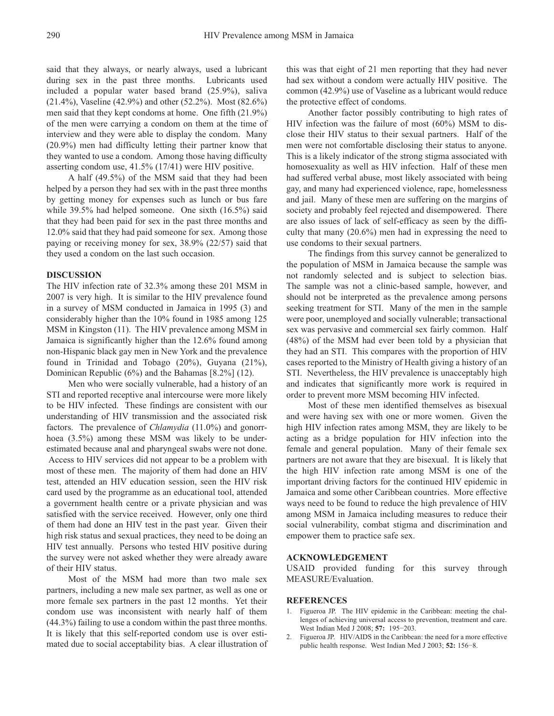said that they always, or nearly always, used a lubricant during sex in the past three months. Lubricants used included a popular water based brand (25.9%), saliva (21.4%), Vaseline (42.9%) and other (52.2%). Most (82.6%) men said that they kept condoms at home. One fifth (21.9%) of the men were carrying a condom on them at the time of interview and they were able to display the condom. Many (20.9%) men had difficulty letting their partner know that they wanted to use a condom. Among those having difficulty asserting condom use, 41.5% (17/41) were HIV positive.

A half (49.5%) of the MSM said that they had been helped by a person they had sex with in the past three months by getting money for expenses such as lunch or bus fare while 39.5% had helped someone. One sixth (16.5%) said that they had been paid for sex in the past three months and 12.0% said that they had paid someone for sex. Among those paying or receiving money for sex, 38.9% (22/57) said that they used a condom on the last such occasion.

#### **DISCUSSION**

The HIV infection rate of 32.3% among these 201 MSM in 2007 is very high. It is similar to the HIV prevalence found in a survey of MSM conducted in Jamaica in 1995 (3) and considerably higher than the 10% found in 1985 among 125 MSM in Kingston (11). The HIV prevalence among MSM in Jamaica is significantly higher than the 12.6% found among non-Hispanic black gay men in New York and the prevalence found in Trinidad and Tobago (20%), Guyana (21%), Dominican Republic (6%) and the Bahamas [8.2%] (12).

Men who were socially vulnerable, had a history of an STI and reported receptive anal intercourse were more likely to be HIV infected. These findings are consistent with our understanding of HIV transmission and the associated risk factors. The prevalence of *Chlamydia* (11.0%) and gonorrhoea (3.5%) among these MSM was likely to be underestimated because anal and pharyngeal swabs were not done. Access to HIV services did not appear to be a problem with most of these men. The majority of them had done an HIV test, attended an HIV education session, seen the HIV risk card used by the programme as an educational tool, attended a government health centre or a private physician and was satisfied with the service received. However, only one third of them had done an HIV test in the past year. Given their high risk status and sexual practices, they need to be doing an HIV test annually. Persons who tested HIV positive during the survey were not asked whether they were already aware of their HIV status.

Most of the MSM had more than two male sex partners, including a new male sex partner, as well as one or more female sex partners in the past 12 months. Yet their condom use was inconsistent with nearly half of them (44.3%) failing to use a condom within the past three months. It is likely that this self-reported condom use is over estimated due to social acceptability bias. A clear illustration of this was that eight of 21 men reporting that they had never had sex without a condom were actually HIV positive. The common (42.9%) use of Vaseline as a lubricant would reduce the protective effect of condoms.

Another factor possibly contributing to high rates of HIV infection was the failure of most (60%) MSM to disclose their HIV status to their sexual partners. Half of the men were not comfortable disclosing their status to anyone. This is a likely indicator of the strong stigma associated with homosexuality as well as HIV infection. Half of these men had suffered verbal abuse, most likely associated with being gay, and many had experienced violence, rape, homelessness and jail. Many of these men are suffering on the margins of society and probably feel rejected and disempowered. There are also issues of lack of self-efficacy as seen by the difficulty that many (20.6%) men had in expressing the need to use condoms to their sexual partners.

The findings from this survey cannot be generalized to the population of MSM in Jamaica because the sample was not randomly selected and is subject to selection bias. The sample was not a clinic-based sample, however, and should not be interpreted as the prevalence among persons seeking treatment for STI. Many of the men in the sample were poor, unemployed and socially vulnerable; transactional sex was pervasive and commercial sex fairly common. Half (48%) of the MSM had ever been told by a physician that they had an STI. This compares with the proportion of HIV cases reported to the Ministry of Health giving a history of an STI. Nevertheless, the HIV prevalence is unacceptably high and indicates that significantly more work is required in order to prevent more MSM becoming HIV infected.

Most of these men identified themselves as bisexual and were having sex with one or more women. Given the high HIV infection rates among MSM, they are likely to be acting as a bridge population for HIV infection into the female and general population. Many of their female sex partners are not aware that they are bisexual. It is likely that the high HIV infection rate among MSM is one of the important driving factors for the continued HIV epidemic in Jamaica and some other Caribbean countries. More effective ways need to be found to reduce the high prevalence of HIV among MSM in Jamaica including measures to reduce their social vulnerability, combat stigma and discrimination and empower them to practice safe sex.

### **ACKNOWLEDGEMENT**

USAID provided funding for this survey through MEASURE/Evaluation.

#### **REFERENCES**

- 1. Figueroa JP. The HIV epidemic in the Caribbean: meeting the challenges of achieving universal access to prevention, treatment and care. West Indian Med J 2008; **57:** 195−203.
- 2. Figueroa JP. HIV/AIDS in the Caribbean: the need for a more effective public health response. West Indian Med J 2003; **52:** 156−8.